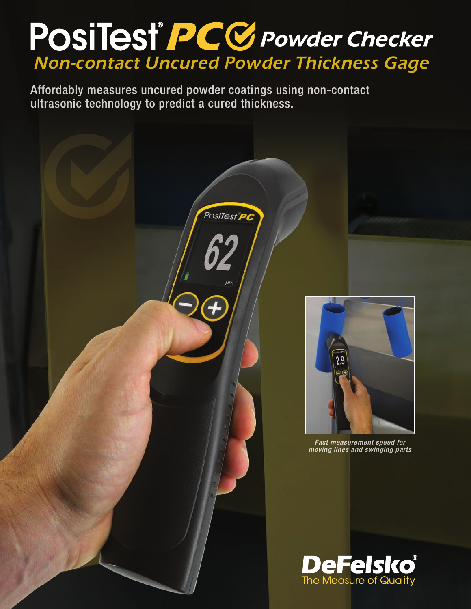# POSITest®PCC Powder Checker Non-contact Uncured Powder Thickness Gage

PosiTest<sup>®</sup>PC

Affordably measures uncured powder coatings using non-contact ultrasonic technology to predict a cured thickness.



**Fast measurement speed for** moving lines and swinging parts